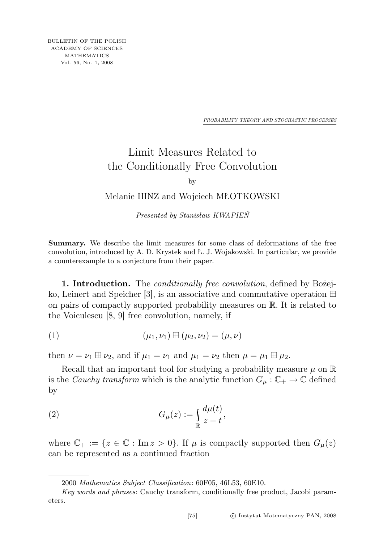*PROBABILITY THEORY AND STOCHASTIC PROCESSES*

## Limit Measures Related to the Conditionally Free Convolution

by

## Melanie HINZ and Wojciech MŁOTKOWSKI

Presented by Stanisław KWAPIEŃ

Summary. We describe the limit measures for some class of deformations of the free convolution, introduced by A. D. Krystek and Ł. J. Wojakowski. In particular, we provide a counterexample to a conjecture from their paper.

1. Introduction. The *conditionally free convolution*, defined by Bozejko, Leinert and Speicher [3], is an associative and commutative operation  $\boxplus$ on pairs of compactly supported probability measures on R. It is related to the Voiculescu [8, 9] free convolution, namely, if

(1) 
$$
(\mu_1, \nu_1) \boxplus (\mu_2, \nu_2) = (\mu, \nu)
$$

then  $\nu = \nu_1 \boxplus \nu_2$ , and if  $\mu_1 = \nu_1$  and  $\mu_1 = \nu_2$  then  $\mu = \mu_1 \boxplus \mu_2$ .

Recall that an important tool for studying a probability measure  $\mu$  on  $\mathbb R$ is the *Cauchy transform* which is the analytic function  $G_{\mu}: \mathbb{C}_+ \to \mathbb{C}$  defined by

(2) 
$$
G_{\mu}(z) := \int_{\mathbb{R}} \frac{d\mu(t)}{z - t},
$$

where  $\mathbb{C}_+ := \{z \in \mathbb{C} : \text{Im } z > 0\}$ . If  $\mu$  is compactly supported then  $G_\mu(z)$ can be represented as a continued fraction

<sup>2000</sup> Mathematics Subject Classification: 60F05, 46L53, 60E10.

Key words and phrases: Cauchy transform, conditionally free product, Jacobi parameters.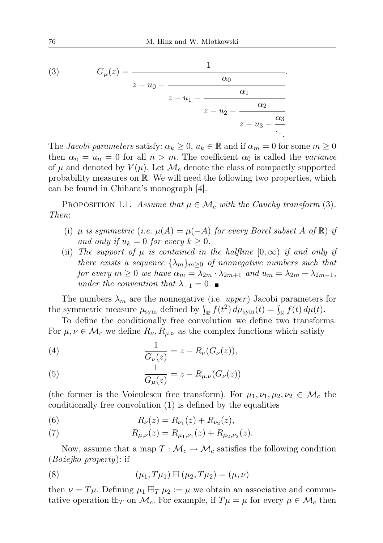(3) 
$$
G_{\mu}(z) = \frac{1}{z - u_0 - \frac{\alpha_0}{z - u_1 - \frac{\alpha_1}{z - u_2 - \frac{\alpha_2}{z - u_3 - \frac{\alpha_3}{\ddots}}}}}
$$

The Jacobi parameters satisfy:  $\alpha_k \geq 0$ ,  $u_k \in \mathbb{R}$  and if  $\alpha_m = 0$  for some  $m \geq 0$ then  $\alpha_n = u_n = 0$  for all  $n > m$ . The coefficient  $\alpha_0$  is called the variance of  $\mu$  and denoted by  $V(\mu)$ . Let  $\mathcal{M}_c$  denote the class of compactly supported probability measures on R. We will need the following two properties, which can be found in Chihara's monograph [4].

PROPOSITION 1.1. Assume that  $\mu \in \mathcal{M}_c$  with the Cauchy transform (3). Then:

- (i)  $\mu$  is symmetric (i.e.  $\mu(A) = \mu(-A)$  for every Borel subset A of  $\mathbb{R}$ ) if and only if  $u_k = 0$  for every  $k \geq 0$ .
- (ii) The support of  $\mu$  is contained in the halfline  $[0, \infty)$  if and only if there exists a sequence  $\{\lambda_m\}_{m\geq 0}$  of nonnegative numbers such that for every  $m \ge 0$  we have  $\alpha_m = \lambda_{2m} \cdot \lambda_{2m+1}$  and  $u_m = \lambda_{2m} + \lambda_{2m-1}$ , under the convention that  $\lambda_{-1} = 0$ .

The numbers  $\lambda_m$  are the nonnegative (i.e. upper) Jacobi parameters for the symmetric measure  $\mu_{sym}$  defined by  $\int_{\mathbb{R}} f(t^2) d\mu_{sym}(t) = \int_{\mathbb{R}} f(t) d\mu(t)$ .

To define the conditionally free convolution we define two transforms. For  $\mu, \nu \in \mathcal{M}_c$  we define  $R_{\nu}, R_{\mu,\nu}$  as the complex functions which satisfy

(4) 
$$
\frac{1}{G_{\nu}(z)} = z - R_{\nu}(G_{\nu}(z)),
$$

(5) 
$$
\frac{1}{G_{\mu}(z)} = z - R_{\mu,\nu}(G_{\nu}(z))
$$

(the former is the Voiculescu free transform). For  $\mu_1, \nu_1, \mu_2, \nu_2 \in \mathcal{M}_c$  the conditionally free convolution (1) is defined by the equalities

(6) 
$$
R_{\nu}(z) = R_{\nu_1}(z) + R_{\nu_2}(z),
$$

(7) 
$$
R_{\mu,\nu}(z) = R_{\mu_1,\nu_1}(z) + R_{\mu_2,\nu_2}(z).
$$

Now, assume that a map  $T: \mathcal{M}_c \to \mathcal{M}_c$  satisfies the following condition (Bożejko property): if

(8) 
$$
(\mu_1, T\mu_1) \boxplus (\mu_2, T\mu_2) = (\mu, \nu)
$$

then  $\nu = T\mu$ . Defining  $\mu_1 \boxplus_T \mu_2 := \mu$  we obtain an associative and commutative operation  $\boxplus_T$  on  $\mathcal{M}_c$ . For example, if  $T\mu = \mu$  for every  $\mu \in \mathcal{M}_c$  then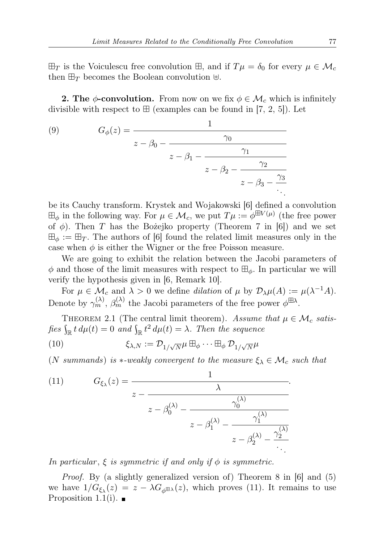$\boxplus_T$  is the Voiculescu free convolution  $\boxplus$ , and if  $T\mu = \delta_0$  for every  $\mu \in \mathcal{M}_c$ then  $\boxplus_T$  becomes the Boolean convolution  $\boxplus$ .

**2. The**  $\phi$ **-convolution.** From now on we fix  $\phi \in \mathcal{M}_c$  which is infinitely divisible with respect to  $\boxplus$  (examples can be found in [7, 2, 5]). Let

(9) 
$$
G_{\phi}(z) = \frac{1}{z - \beta_0 - \frac{\gamma_0}{z - \beta_1 - \frac{\gamma_1}{z - \beta_2 - \frac{\gamma_2}{z - \beta_3 - \frac{\gamma_3}{\gamma_3}}}}}
$$

be its Cauchy transform. Krystek and Wojakowski [6] defined a convolution  $\boxplus_{\phi}$  in the following way. For  $\mu \in \mathcal{M}_c$ , we put  $T\mu := \phi^{\boxplus V(\mu)}$  (the free power of  $\phi$ ). Then T has the Bożejko property (Theorem 7 in [6]) and we set  $\boxplus_{\phi} := \boxplus_T$ . The authors of [6] found the related limit measures only in the case when  $\phi$  is either the Wigner or the free Poisson measure.

We are going to exhibit the relation between the Jacobi parameters of  $\phi$  and those of the limit measures with respect to  $\boxplus_{\phi}$ . In particular we will verify the hypothesis given in [6, Remark 10].

For  $\mu \in \mathcal{M}_c$  and  $\lambda > 0$  we define *dilation* of  $\mu$  by  $\mathcal{D}_{\lambda}\mu(A) := \mu(\lambda^{-1}A)$ . Denote by  $\gamma_m^{(\lambda)}$ ,  $\beta_m^{(\lambda)}$  the Jacobi parameters of the free power  $\phi^{\boxplus \lambda}$ .

THEOREM 2.1 (The central limit theorem). Assume that  $\mu \in \mathcal{M}_c$  satisfies  $\int_{\mathbb{R}} t \, d\mu(t) = 0$  and  $\int_{\mathbb{R}} t^2 \, d\mu(t) = \lambda$ . Then the sequence

(10) 
$$
\xi_{\lambda,N} := \mathcal{D}_{1/\sqrt{N}} \mu \boxplus_{\phi} \cdots \boxplus_{\phi} \mathcal{D}_{1/\sqrt{N}} \mu
$$

(N summands) is  $*$ -weakly convergent to the measure  $\xi_{\lambda} \in \mathcal{M}_c$  such that

(11) 
$$
G_{\xi_{\lambda}}(z) = \frac{1}{z - \frac{\lambda}{z - \beta_0^{(\lambda)} - \frac{\gamma_0^{(\lambda)}}{z - \beta_1^{(\lambda)} - \frac{\gamma_1^{(\lambda)}}{z - \beta_2^{(\lambda)} - \frac{\gamma_2^{(\lambda)}}{z - \beta_2^{(\lambda)} - \frac{\gamma_2^{(\lambda)}}{z - \beta_2^{(\lambda)} - \frac{\gamma_2^{(\lambda)}}{z - \beta_2^{(\lambda)} - \frac{\gamma_2^{(\lambda)}}{z - \beta_2^{(\lambda)} - \frac{\gamma_2^{(\lambda)}}{z - \beta_2^{(\lambda)} - \frac{\gamma_2^{(\lambda)}}{z - \beta_2^{(\lambda)} - \frac{\gamma_2^{(\lambda)}}{z - \beta_2^{(\lambda)} - \frac{\gamma_2^{(\lambda)}}{z - \beta_2^{(\lambda)} - \frac{\gamma_2^{(\lambda)}}{z - \beta_2^{(\lambda)} - \frac{\gamma_2^{(\lambda)}}{z - \beta_2^{(\lambda)} - \frac{\gamma_2^{(\lambda)}}{z - \beta_2^{(\lambda)} - \frac{\gamma_2^{(\lambda)}}{z - \beta_2^{(\lambda)} - \frac{\gamma_2^{(\lambda)}}{z - \beta_2^{(\lambda)} - \frac{\gamma_2^{(\lambda)}}{z - \beta_2^{(\lambda)} - \frac{\gamma_2^{(\lambda)}}{z - \beta_2^{(\lambda)} - \frac{\gamma_2^{(\lambda)}}{z - \beta_2^{(\lambda)} - \frac{\gamma_2^{(\lambda)}}{z - \beta_2^{(\lambda)} - \frac{\gamma_2^{(\lambda)}}{z - \beta_2^{(\lambda)} - \frac{\gamma_2^{(\lambda)}}{z - \beta_2^{(\lambda)} - \frac{\gamma_2^{(\lambda)}}{z - \beta_2^{(\lambda)} - \frac{\gamma_2^{(\lambda)}}{z - \beta_2^{(\lambda)} - \frac{\gamma_2^{(\lambda)}}{z - \beta_2^{(\lambda)} - \frac{\gamma_2^{(\lambda)}}{z - \beta_2^{(\lambda)} - \frac{\gamma_2^{(\lambda)}}{z - \beta_2^{(\lambda)} - \frac{\gamma_2^{(\lambda)}}{z - \beta_2^{(\lambda)} - \frac{\gamma_2^{(\lambda)}}{z - \beta_2^{(\lambda)} - \frac{\gamma_2^{(\lambda)}}{z - \beta_2^{(\lambda)} - \frac{\gamma_2^{(\lambda)}}{z - \beta_2^{(\lambda)} - \frac{\gamma_2^{(\lambda)}}{z - \beta_2^{(\lambda)} - \frac{\gamma_2^{(\lambda)}}{z - \beta_2^{(\lambda)} - \frac{\gamma_2^{(\lambda)}}{z - \beta_
$$

In particular,  $\xi$  is symmetric if and only if  $\phi$  is symmetric.

Proof. By (a slightly generalized version of) Theorem 8 in [6] and (5) we have  $1/G_{\xi_{\lambda}}(z) = z - \lambda G_{\phi^{\boxplus \lambda}}(z)$ , which proves (11). It remains to use Proposition 1.1(i).  $\blacksquare$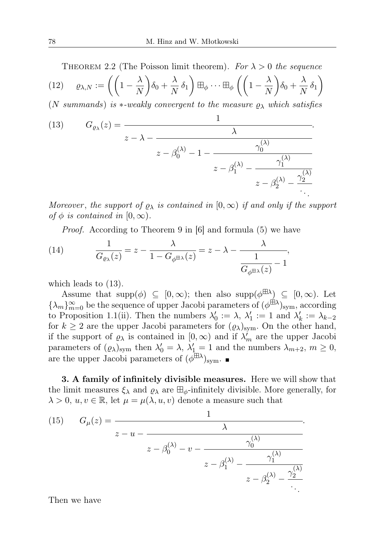THEOREM 2.2 (The Poisson limit theorem). For 
$$
\lambda > 0
$$
 the sequence  
\n(12)  $\varrho_{\lambda,N} := \left( \left( 1 - \frac{\lambda}{N} \right) \delta_0 + \frac{\lambda}{N} \delta_1 \right) \boxplus_{\phi} \cdots \boxplus_{\phi} \left( \left( 1 - \frac{\lambda}{N} \right) \delta_0 + \frac{\lambda}{N} \delta_1 \right)$ 

(N summands) is  $\ast$ -weakly convergent to the measure  $\rho_{\lambda}$  which satisfies

(13) 
$$
G_{\varrho_{\lambda}}(z) = \frac{1}{z - \lambda - \frac{\lambda}{z - \beta_0^{(\lambda)} - 1 - \frac{\gamma_0^{(\lambda)}}{z - \beta_1^{(\lambda)} - \frac{\gamma_1^{(\lambda)}}{z - \beta_2^{(\lambda)} - \frac{\gamma_2^{(\lambda)}}{z - \beta_2^{(\lambda)} - \frac{\gamma_2^{(\lambda)}}{z - \beta_2^{(\lambda)} - \frac{\gamma_2^{(\lambda)}}{z - \beta_2^{(\lambda)} - \frac{\gamma_2^{(\lambda)}}{z - \beta_2^{(\lambda)} - \frac{\gamma_2^{(\lambda)}}{z - \beta_2^{(\lambda)} - \frac{\gamma_2^{(\lambda)}}{z - \beta_2^{(\lambda)} - \frac{\gamma_2^{(\lambda)}}{z - \beta_2^{(\lambda)} - \frac{\gamma_2^{(\lambda)}}{z - \beta_2^{(\lambda)} - \frac{\gamma_2^{(\lambda)}}{z - \beta_2^{(\lambda)} - \frac{\gamma_2^{(\lambda)}}{z - \beta_2^{(\lambda)} - \frac{\gamma_2^{(\lambda)}}{z - \beta_2^{(\lambda)} - \frac{\gamma_2^{(\lambda)}}{z - \beta_2^{(\lambda)} - \frac{\gamma_2^{(\lambda)}}{z - \beta_2^{(\lambda)} - \frac{\gamma_2^{(\lambda)}}{z - \beta_2^{(\lambda)} - \frac{\gamma_2^{(\lambda)}}{z - \beta_2^{(\lambda)} - \frac{\gamma_2^{(\lambda)}}{z - \beta_2^{(\lambda)} - \frac{\gamma_2^{(\lambda)}}{z - \beta_2^{(\lambda)} - \frac{\gamma_2^{(\lambda)}}{z - \beta_2^{(\lambda)} - \frac{\gamma_2^{(\lambda)}}{z - \beta_2^{(\lambda)} - \frac{\gamma_2^{(\lambda)}}{z - \beta_2^{(\lambda)} - \frac{\gamma_2^{(\lambda)}}{z - \beta_2^{(\lambda)} - \frac{\gamma_2^{(\lambda)}}{z - \beta_2^{(\lambda)} - \frac{\gamma_2^{(\lambda)}}{z - \beta_2^{(\lambda)} - \frac{\gamma_2^{(\lambda)}}{z - \beta_2^{(\lambda)} - \frac{\gamma_2^{(\lambda)}}{z - \beta_2^{(\lambda)} - \frac{\gamma_2^{(\lambda)}}{z - \beta_2^{(\lambda)} - \frac{\gamma_2^{(\lambda)}}{z - \beta_2^{(\lambda)} - \frac{\gamma_2^{(\lambda)}}{z - \beta_2^{(\lambda)} - \frac{\gamma_2^{(\lambda)}}{z - \beta_2^{(\lambda)} - \frac{\gamma_2^{(\lambda)}}{z - \beta_2^{(\lambda)} - \frac{\gamma_2^{(\lambda
$$

Moreover, the support of  $\varrho_{\lambda}$  is contained in  $[0,\infty)$  if and only if the support of  $\phi$  is contained in  $[0, \infty)$ .

Proof. According to Theorem 9 in [6] and formula (5) we have

(14) 
$$
\frac{1}{G_{\varrho_{\lambda}}(z)} = z - \frac{\lambda}{1 - G_{\varphi \boxplus \lambda}(z)} = z - \lambda - \frac{\lambda}{\frac{1}{G_{\varphi \boxplus \lambda}(z)} - 1},
$$

which leads to (13).

Assume that  $\text{supp}(\phi) \subseteq [0,\infty)$ ; then also  $\text{supp}(\phi^{\boxplus \lambda}) \subseteq [0,\infty)$ . Let  $\{\lambda_m\}_{m=0}^{\infty}$  be the sequence of upper Jacobi parameters of  $(\phi^{\text{H}\lambda})_{\text{sym}}$ , according to Proposition 1.1(ii). Then the numbers  $\lambda'_0 := \lambda$ ,  $\lambda'_1 := 1$  and  $\lambda'_k := \lambda_{k-2}$ for  $k \geq 2$  are the upper Jacobi parameters for  $(\varrho_{\lambda})_{sym}$ . On the other hand, if the support of  $\varrho_{\lambda}$  is contained in  $[0, \infty)$  and if  $\lambda_m^j$  are the upper Jacobi parameters of  $(\varrho_\lambda)_{sym}$  then  $\lambda'_0 = \lambda$ ,  $\lambda'_1 = 1$  and the numbers  $\lambda_{m+2}$ ,  $m \ge 0$ , are the upper Jacobi parameters of  $(\phi^{\boxplus \lambda})_{\text{sym}}$ .

3. A family of infinitely divisible measures. Here we will show that the limit measures  $\xi_{\lambda}$  and  $\varrho_{\lambda}$  are  $\boxplus_{\phi}$ -infinitely divisible. More generally, for  $\lambda > 0, u, v \in \mathbb{R}$ , let  $\mu = \mu(\lambda, u, v)$  denote a measure such that

(15) 
$$
G_{\mu}(z) = \frac{1}{z - u - \frac{\lambda}{z - \beta_0^{(\lambda)} - v - \frac{\gamma_0^{(\lambda)}}{z - \beta_1^{(\lambda)} - \frac{\gamma_1^{(\lambda)}}{z - \beta_2^{(\lambda)} - \frac{\gamma_2^{(\lambda)}}{z - \beta_2^{(\lambda)} - \frac{\gamma_2^{(\lambda)}}{z - \beta_2^{(\lambda)} - \frac{\gamma_2^{(\lambda)}}{z - \beta_2^{(\lambda)} - \frac{\gamma_2^{(\lambda)}}{z - \beta_2^{(\lambda)} - \frac{\gamma_2^{(\lambda)}}{z - \beta_2^{(\lambda)} - \frac{\gamma_2^{(\lambda)}}{z - \beta_2^{(\lambda)} - \frac{\gamma_2^{(\lambda)}}{z - \beta_2^{(\lambda)} - \frac{\gamma_2^{(\lambda)}}{z - \beta_2^{(\lambda)} - \frac{\gamma_2^{(\lambda)}}{z - \beta_2^{(\lambda)} - \frac{\gamma_2^{(\lambda)}}{z - \beta_2^{(\lambda)} - \frac{\gamma_2^{(\lambda)}}{z - \beta_2^{(\lambda)} - \frac{\gamma_2^{(\lambda)}}{z - \beta_2^{(\lambda)} - \frac{\gamma_2^{(\lambda)}}{z - \beta_2^{(\lambda)} - \frac{\gamma_2^{(\lambda)}}{z - \beta_2^{(\lambda)} - \frac{\gamma_2^{(\lambda)}}{z - \beta_2^{(\lambda)} - \frac{\gamma_2^{(\lambda)}}{z - \beta_2^{(\lambda)} - \frac{\gamma_2^{(\lambda)}}{z - \beta_2^{(\lambda)} - \frac{\gamma_2^{(\lambda)}}{z - \beta_2^{(\lambda)} - \frac{\gamma_2^{(\lambda)}}{z - \beta_2^{(\lambda)} - \frac{\gamma_2^{(\lambda)}}{z - \beta_2^{(\lambda)} - \frac{\gamma_2^{(\lambda)}}{z - \beta_2^{(\lambda)} - \frac{\gamma_2^{(\lambda)}}{z - \beta_2^{(\lambda)} - \frac{\gamma_2^{(\lambda)}}{z - \beta_2^{(\lambda)} - \frac{\gamma_2^{(\lambda)}}{z - \beta_2^{(\lambda)} - \frac{\gamma_2^{(\lambda)}}{z - \beta_2^{(\lambda)} - \frac{\gamma_2^{(\lambda)}}{z - \beta_2^{(\lambda)} - \frac{\gamma_2^{(\lambda)}}{z - \beta_2^{(\lambda)} - \frac{\gamma_2^{(\lambda)}}{z - \beta_2^{(\lambda)} - \frac{\gamma_2^{(\lambda)}}{z - \beta_2^{(\lambda)} - \frac{\gamma_2^{(\lambda)}}{z - \beta_2^{(\lambda)} - \frac{\gamma_2^{(\lambda)}}{z - \beta_
$$

Then we have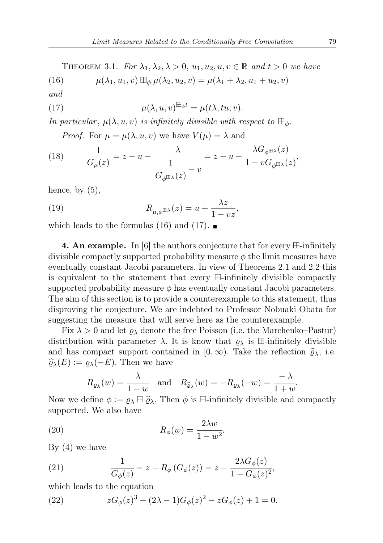THEOREM 3.1. For  $\lambda_1, \lambda_2, \lambda > 0$ ,  $u_1, u_2, u, v \in \mathbb{R}$  and  $t > 0$  we have

(16)  $\mu(\lambda_1, u_1, v) \boxplus_{\phi} \mu(\lambda_2, u_2, v) = \mu(\lambda_1 + \lambda_2, u_1 + u_2, v)$ 

and

(17) 
$$
\mu(\lambda, u, v)^{\boxplus_{\phi} t} = \mu(t\lambda, tu, v).
$$

In particular,  $\mu(\lambda, u, v)$  is infinitely divisible with respect to  $\mathbb{H}_{\phi}$ .

*Proof.* For  $\mu = \mu(\lambda, u, v)$  we have  $V(\mu) = \lambda$  and

(18) 
$$
\frac{1}{G_{\mu}(z)} = z - u - \frac{\lambda}{\frac{1}{G_{\phi^{\boxplus \lambda}}(z)} - v} = z - u - \frac{\lambda G_{\phi^{\boxplus \lambda}}(z)}{1 - vG_{\phi^{\boxplus \lambda}}(z)},
$$

hence, by  $(5)$ ,

(19) 
$$
R_{\mu,\phi^{\boxplus \lambda}}(z) = u + \frac{\lambda z}{1 - vz},
$$

which leads to the formulas (16) and (17).

**4. An example.** In [6] the authors conjecture that for every  $\boxplus$ -infinitely divisible compactly supported probability measure  $\phi$  the limit measures have eventually constant Jacobi parameters. In view of Theorems 2.1 and 2.2 this is equivalent to the statement that every  $\boxplus$ -infinitely divisible compactly supported probability measure  $\phi$  has eventually constant Jacobi parameters. The aim of this section is to provide a counterexample to this statement, thus disproving the conjecture. We are indebted to Professor Nobuaki Obata for suggesting the measure that will serve here as the counterexample.

Fix  $\lambda > 0$  and let  $\varrho_{\lambda}$  denote the free Poisson (i.e. the Marchenko–Pastur) distribution with parameter  $\lambda$ . It is know that  $\varrho_{\lambda}$  is  $\boxplus$ -infinitely divisible and has compact support contained in  $[0, \infty)$ . Take the reflection  $\hat{\varrho}_{\lambda}$ , i.e.  $\widehat{\varrho}_{\lambda}(E) := \varrho_{\lambda}(-E)$ . Then we have

$$
R_{\varrho_{\lambda}}(w) = \frac{\lambda}{1 - w}
$$
 and  $R_{\widehat{\varrho}_{\lambda}}(w) = -R_{\varrho_{\lambda}}(-w) = \frac{-\lambda}{1 + w}$ .

Now we define  $\phi := \rho_{\lambda} \boxplus \widehat{\rho}_{\lambda}$ . Then  $\phi$  is  $\boxplus$ -infinitely divisible and compactly supported. We also have

(20) 
$$
R_{\phi}(w) = \frac{2\lambda w}{1 - w^2}.
$$

By  $(4)$  we have

(21) 
$$
\frac{1}{G_{\phi}(z)} = z - R_{\phi}(G_{\phi}(z)) = z - \frac{2\lambda G_{\phi}(z)}{1 - G_{\phi}(z)^2},
$$

which leads to the equation

(22) 
$$
zG_{\phi}(z)^{3} + (2\lambda - 1)G_{\phi}(z)^{2} - zG_{\phi}(z) + 1 = 0.
$$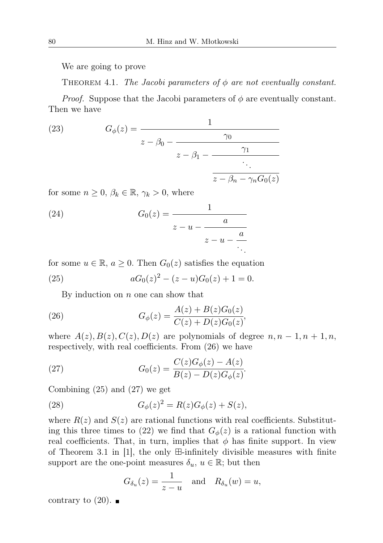We are going to prove

THEOREM 4.1. The Jacobi parameters of  $\phi$  are not eventually constant.

*Proof.* Suppose that the Jacobi parameters of  $\phi$  are eventually constant. Then we have

(23) 
$$
G_{\phi}(z) = \frac{1}{z - \beta_0 - \frac{\gamma_0}{z - \beta_1 - \frac{\gamma_1}{\beta_0}}}
$$

$$
\frac{z - \beta_0 - \frac{\gamma_1}{\beta_0 - \gamma_0}}{z - \beta_0 - \gamma_n G_0(z)}}
$$

for some  $n \geq 0$ ,  $\beta_k \in \mathbb{R}$ ,  $\gamma_k > 0$ , where

(24) 
$$
G_0(z) = \frac{1}{z - u - \frac{a}{z - u - \frac{a}{\ddots}}}
$$

for some  $u \in \mathbb{R}$ ,  $a \geq 0$ . Then  $G_0(z)$  satisfies the equation

(25) 
$$
aG_0(z)^2 - (z - u)G_0(z) + 1 = 0.
$$

By induction on  $n$  one can show that

(26) 
$$
G_{\phi}(z) = \frac{A(z) + B(z)G_0(z)}{C(z) + D(z)G_0(z)},
$$

where  $A(z), B(z), C(z), D(z)$  are polynomials of degree  $n, n-1, n+1, n$ , respectively, with real coefficients. From (26) we have

(27) 
$$
G_0(z) = \frac{C(z)G_{\phi}(z) - A(z)}{B(z) - D(z)G_{\phi}(z)}.
$$

Combining (25) and (27) we get

(28) 
$$
G_{\phi}(z)^{2} = R(z)G_{\phi}(z) + S(z),
$$

where  $R(z)$  and  $S(z)$  are rational functions with real coefficients. Substituting this three times to (22) we find that  $G_{\phi}(z)$  is a rational function with real coefficients. That, in turn, implies that  $\phi$  has finite support. In view of Theorem 3.1 in |1|, the only  $\boxplus$ -infinitely divisible measures with finite support are the one-point measures  $\delta_u, u \in \mathbb{R}$ ; but then

$$
G_{\delta_u}(z) = \frac{1}{z - u} \quad \text{and} \quad R_{\delta_u}(w) = u,
$$

contrary to  $(20)$ .